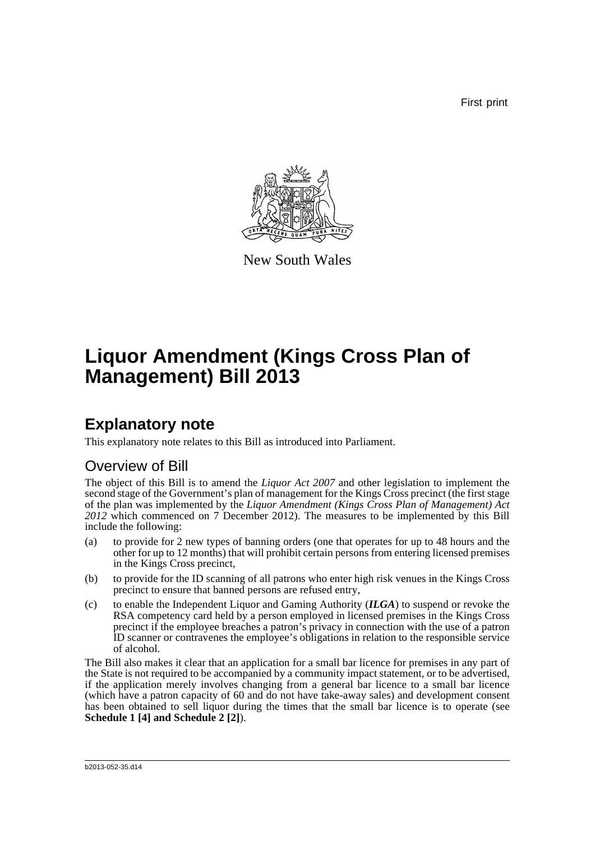First print



New South Wales

# **Liquor Amendment (Kings Cross Plan of Management) Bill 2013**

## **Explanatory note**

This explanatory note relates to this Bill as introduced into Parliament.

## Overview of Bill

The object of this Bill is to amend the *Liquor Act 2007* and other legislation to implement the second stage of the Government's plan of management for the Kings Cross precinct (the first stage of the plan was implemented by the *Liquor Amendment (Kings Cross Plan of Management) Act 2012* which commenced on 7 December 2012). The measures to be implemented by this Bill include the following:

- (a) to provide for 2 new types of banning orders (one that operates for up to 48 hours and the other for up to 12 months) that will prohibit certain persons from entering licensed premises in the Kings Cross precinct,
- (b) to provide for the ID scanning of all patrons who enter high risk venues in the Kings Cross precinct to ensure that banned persons are refused entry,
- (c) to enable the Independent Liquor and Gaming Authority (*ILGA*) to suspend or revoke the RSA competency card held by a person employed in licensed premises in the Kings Cross precinct if the employee breaches a patron's privacy in connection with the use of a patron ID scanner or contravenes the employee's obligations in relation to the responsible service of alcohol.

The Bill also makes it clear that an application for a small bar licence for premises in any part of the State is not required to be accompanied by a community impact statement, or to be advertised, if the application merely involves changing from a general bar licence to a small bar licence (which have a patron capacity of 60 and do not have take-away sales) and development consent has been obtained to sell liquor during the times that the small bar licence is to operate (see **Schedule 1 [4] and Schedule 2 [2]**).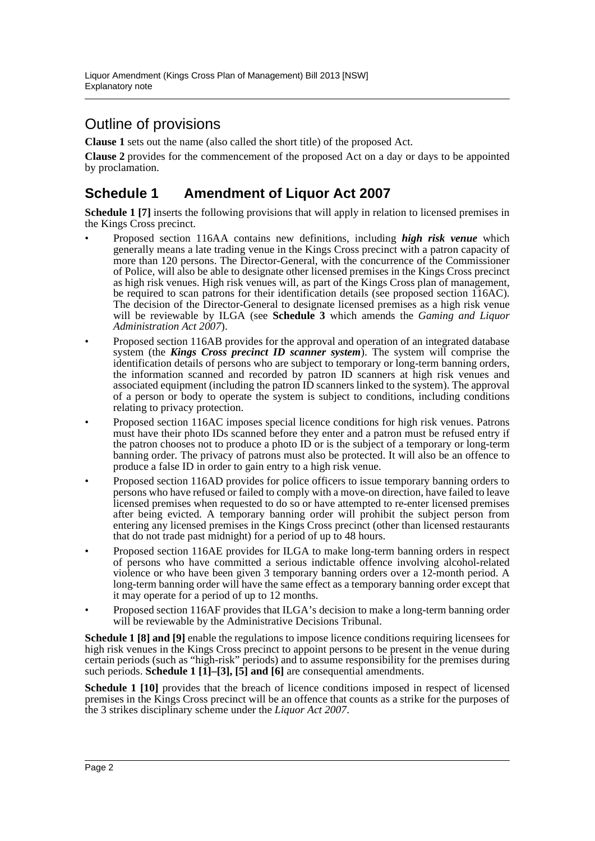## Outline of provisions

**Clause 1** sets out the name (also called the short title) of the proposed Act.

**Clause 2** provides for the commencement of the proposed Act on a day or days to be appointed by proclamation.

### **Schedule 1 Amendment of Liquor Act 2007**

**Schedule 1 [7]** inserts the following provisions that will apply in relation to licensed premises in the Kings Cross precinct.

- Proposed section 116AA contains new definitions, including *high risk venue* which generally means a late trading venue in the Kings Cross precinct with a patron capacity of more than 120 persons. The Director-General, with the concurrence of the Commissioner of Police, will also be able to designate other licensed premises in the Kings Cross precinct as high risk venues. High risk venues will, as part of the Kings Cross plan of management, be required to scan patrons for their identification details (see proposed section 116AC). The decision of the Director-General to designate licensed premises as a high risk venue will be reviewable by ILGA (see **Schedule 3** which amends the *Gaming and Liquor Administration Act 2007*).
- Proposed section 116AB provides for the approval and operation of an integrated database system (the *Kings Cross precinct ID scanner system*). The system will comprise the identification details of persons who are subject to temporary or long-term banning orders, the information scanned and recorded by patron ID scanners at high risk venues and associated equipment (including the patron ID scanners linked to the system). The approval of a person or body to operate the system is subject to conditions, including conditions relating to privacy protection.
- Proposed section 116AC imposes special licence conditions for high risk venues. Patrons must have their photo IDs scanned before they enter and a patron must be refused entry if the patron chooses not to produce a photo ID or is the subject of a temporary or long-term banning order. The privacy of patrons must also be protected. It will also be an offence to produce a false ID in order to gain entry to a high risk venue.
- Proposed section 116AD provides for police officers to issue temporary banning orders to persons who have refused or failed to comply with a move-on direction, have failed to leave licensed premises when requested to do so or have attempted to re-enter licensed premises after being evicted. A temporary banning order will prohibit the subject person from entering any licensed premises in the Kings Cross precinct (other than licensed restaurants that do not trade past midnight) for a period of up to 48 hours.
- Proposed section 116AE provides for ILGA to make long-term banning orders in respect of persons who have committed a serious indictable offence involving alcohol-related violence or who have been given 3 temporary banning orders over a 12-month period. A long-term banning order will have the same effect as a temporary banning order except that it may operate for a period of up to 12 months.
- Proposed section 116AF provides that ILGA's decision to make a long-term banning order will be reviewable by the Administrative Decisions Tribunal.

**Schedule 1 [8] and [9]** enable the regulations to impose licence conditions requiring licensees for high risk venues in the Kings Cross precinct to appoint persons to be present in the venue during certain periods (such as "high-risk" periods) and to assume responsibility for the premises during such periods. **Schedule 1 [1]–[3], [5] and [6]** are consequential amendments.

**Schedule 1 [10]** provides that the breach of licence conditions imposed in respect of licensed premises in the Kings Cross precinct will be an offence that counts as a strike for the purposes of the 3 strikes disciplinary scheme under the *Liquor Act 2007*.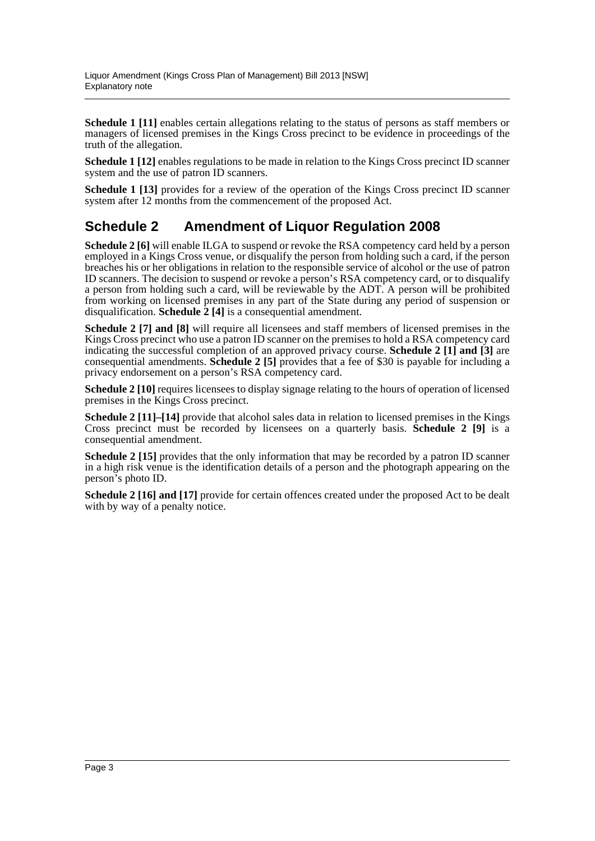**Schedule 1 [11]** enables certain allegations relating to the status of persons as staff members or managers of licensed premises in the Kings Cross precinct to be evidence in proceedings of the truth of the allegation.

**Schedule 1 [12]** enables regulations to be made in relation to the Kings Cross precinct ID scanner system and the use of patron ID scanners.

**Schedule 1 [13]** provides for a review of the operation of the Kings Cross precinct ID scanner system after 12 months from the commencement of the proposed Act.

### **Schedule 2 Amendment of Liquor Regulation 2008**

**Schedule 2 [6]** will enable ILGA to suspend or revoke the RSA competency card held by a person employed in a Kings Cross venue, or disqualify the person from holding such a card, if the person breaches his or her obligations in relation to the responsible service of alcohol or the use of patron ID scanners. The decision to suspend or revoke a person's RSA competency card, or to disqualify a person from holding such a card, will be reviewable by the ADT. A person will be prohibited from working on licensed premises in any part of the State during any period of suspension or disqualification. **Schedule 2 [4]** is a consequential amendment.

**Schedule 2 [7] and [8]** will require all licensees and staff members of licensed premises in the Kings Cross precinct who use a patron ID scanner on the premises to hold a RSA competency card indicating the successful completion of an approved privacy course. **Schedule 2 [1] and [3]** are consequential amendments. **Schedule 2 [5]** provides that a fee of \$30 is payable for including a privacy endorsement on a person's RSA competency card.

**Schedule 2 [10]** requires licensees to display signage relating to the hours of operation of licensed premises in the Kings Cross precinct.

**Schedule 2 [11]–[14]** provide that alcohol sales data in relation to licensed premises in the Kings Cross precinct must be recorded by licensees on a quarterly basis. **Schedule 2 [9]** is a consequential amendment.

**Schedule 2 [15]** provides that the only information that may be recorded by a patron ID scanner in a high risk venue is the identification details of a person and the photograph appearing on the person's photo ID.

**Schedule 2 [16] and [17]** provide for certain offences created under the proposed Act to be dealt with by way of a penalty notice.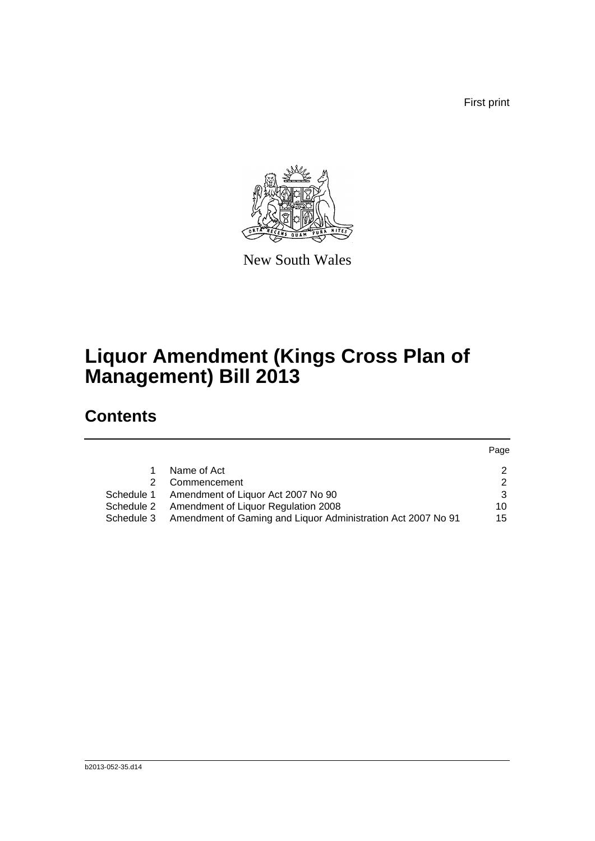First print



New South Wales

# **Liquor Amendment (Kings Cross Plan of Management) Bill 2013**

## **Contents**

|            |                                                              | Page |
|------------|--------------------------------------------------------------|------|
|            | Name of Act                                                  | 2    |
|            | Commencement                                                 | 2    |
|            | Schedule 1 Amendment of Liquor Act 2007 No 90                | 3    |
| Schedule 2 | Amendment of Liquor Regulation 2008                          | 10   |
| Schedule 3 | Amendment of Gaming and Liquor Administration Act 2007 No 91 | 15   |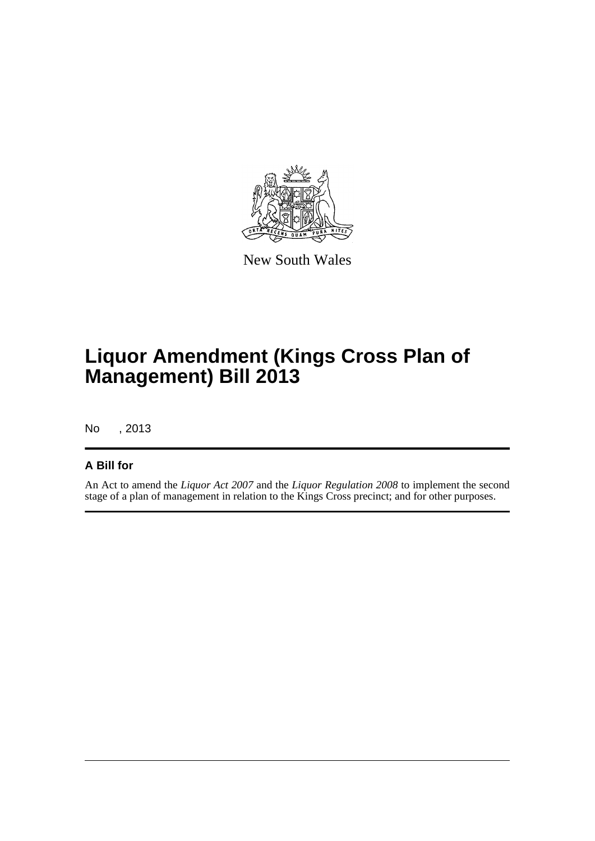

New South Wales

# **Liquor Amendment (Kings Cross Plan of Management) Bill 2013**

No , 2013

#### **A Bill for**

An Act to amend the *Liquor Act 2007* and the *Liquor Regulation 2008* to implement the second stage of a plan of management in relation to the Kings Cross precinct; and for other purposes.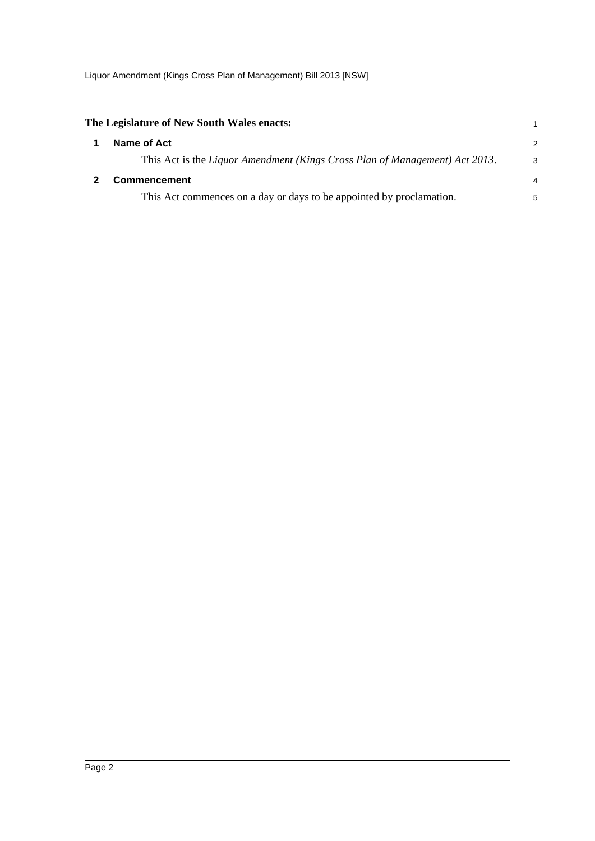Liquor Amendment (Kings Cross Plan of Management) Bill 2013 [NSW]

<span id="page-5-1"></span><span id="page-5-0"></span>

| The Legislature of New South Wales enacts:                                  |                |
|-----------------------------------------------------------------------------|----------------|
| Name of Act                                                                 | 2              |
| This Act is the Liquor Amendment (Kings Cross Plan of Management) Act 2013. | 3              |
| <b>Commencement</b>                                                         | $\overline{4}$ |
| This Act commences on a day or days to be appointed by proclamation.        | 5              |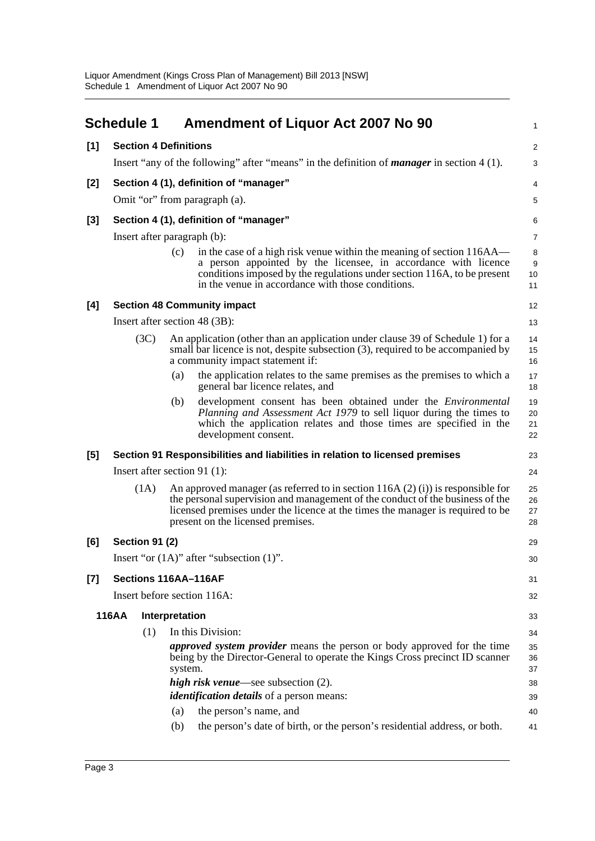<span id="page-6-0"></span>

|       | <b>Schedule 1</b>                      |                                                                                                   |            | <b>Amendment of Liquor Act 2007 No 90</b>                                                                                                                                                                                                                                                | $\mathbf{1}$           |  |  |  |
|-------|----------------------------------------|---------------------------------------------------------------------------------------------------|------------|------------------------------------------------------------------------------------------------------------------------------------------------------------------------------------------------------------------------------------------------------------------------------------------|------------------------|--|--|--|
| [1]   |                                        | <b>Section 4 Definitions</b>                                                                      |            |                                                                                                                                                                                                                                                                                          | $\overline{c}$         |  |  |  |
|       |                                        | Insert "any of the following" after "means" in the definition of <i>manager</i> in section 4 (1). |            |                                                                                                                                                                                                                                                                                          |                        |  |  |  |
| [2]   | Section 4 (1), definition of "manager" |                                                                                                   |            |                                                                                                                                                                                                                                                                                          |                        |  |  |  |
|       |                                        | Omit "or" from paragraph (a).                                                                     |            |                                                                                                                                                                                                                                                                                          |                        |  |  |  |
| $[3]$ |                                        |                                                                                                   |            | Section 4 (1), definition of "manager"                                                                                                                                                                                                                                                   | 6                      |  |  |  |
|       |                                        |                                                                                                   |            | Insert after paragraph (b):                                                                                                                                                                                                                                                              | $\overline{7}$         |  |  |  |
|       |                                        |                                                                                                   | (c)        | in the case of a high risk venue within the meaning of section 116AA—<br>a person appointed by the licensee, in accordance with licence<br>conditions imposed by the regulations under section 116A, to be present<br>in the venue in accordance with those conditions.                  | 8<br>$9\,$<br>10<br>11 |  |  |  |
| [4]   |                                        |                                                                                                   |            | <b>Section 48 Community impact</b>                                                                                                                                                                                                                                                       | 12                     |  |  |  |
|       |                                        |                                                                                                   |            | Insert after section 48 (3B):                                                                                                                                                                                                                                                            | 13                     |  |  |  |
|       |                                        | (3C)                                                                                              |            | An application (other than an application under clause 39 of Schedule 1) for a<br>small bar licence is not, despite subsection (3), required to be accompanied by<br>a community impact statement if:                                                                                    | 14<br>15<br>16         |  |  |  |
|       |                                        |                                                                                                   | (a)        | the application relates to the same premises as the premises to which a<br>general bar licence relates, and                                                                                                                                                                              | 17<br>18               |  |  |  |
|       |                                        |                                                                                                   | (b)        | development consent has been obtained under the <i>Environmental</i><br>Planning and Assessment Act 1979 to sell liquor during the times to<br>which the application relates and those times are specified in the<br>development consent.                                                | 19<br>20<br>21<br>22   |  |  |  |
| [5]   |                                        |                                                                                                   |            | Section 91 Responsibilities and liabilities in relation to licensed premises                                                                                                                                                                                                             | 23                     |  |  |  |
|       |                                        |                                                                                                   |            | Insert after section 91 $(1)$ :                                                                                                                                                                                                                                                          | 24                     |  |  |  |
|       |                                        | (1A)                                                                                              |            | An approved manager (as referred to in section $116A(2)(i)$ ) is responsible for<br>the personal supervision and management of the conduct of the business of the<br>licensed premises under the licence at the times the manager is required to be<br>present on the licensed premises. | 25<br>26<br>27<br>28   |  |  |  |
| [6]   |                                        | <b>Section 91 (2)</b>                                                                             |            |                                                                                                                                                                                                                                                                                          | 29                     |  |  |  |
|       |                                        |                                                                                                   |            | Insert "or $(1A)$ " after "subsection $(1)$ ".                                                                                                                                                                                                                                           | 30                     |  |  |  |
| [7]   |                                        |                                                                                                   |            | Sections 116AA-116AF                                                                                                                                                                                                                                                                     | 31                     |  |  |  |
|       |                                        |                                                                                                   |            | Insert before section 116A:                                                                                                                                                                                                                                                              | 32                     |  |  |  |
|       | <b>116AA</b>                           | Interpretation                                                                                    |            |                                                                                                                                                                                                                                                                                          | 33                     |  |  |  |
|       |                                        | (1)                                                                                               |            | In this Division:                                                                                                                                                                                                                                                                        | 34                     |  |  |  |
|       |                                        |                                                                                                   | system.    | <i>approved system provider</i> means the person or body approved for the time<br>being by the Director-General to operate the Kings Cross precinct ID scanner                                                                                                                           | 35<br>36<br>37         |  |  |  |
|       |                                        |                                                                                                   |            | high risk venue—see subsection $(2)$ .                                                                                                                                                                                                                                                   | 38                     |  |  |  |
|       |                                        |                                                                                                   |            | <i>identification details</i> of a person means:                                                                                                                                                                                                                                         | 39                     |  |  |  |
|       |                                        |                                                                                                   | (a)<br>(b) | the person's name, and<br>the person's date of birth, or the person's residential address, or both.                                                                                                                                                                                      | 40                     |  |  |  |
|       |                                        |                                                                                                   |            |                                                                                                                                                                                                                                                                                          | 41                     |  |  |  |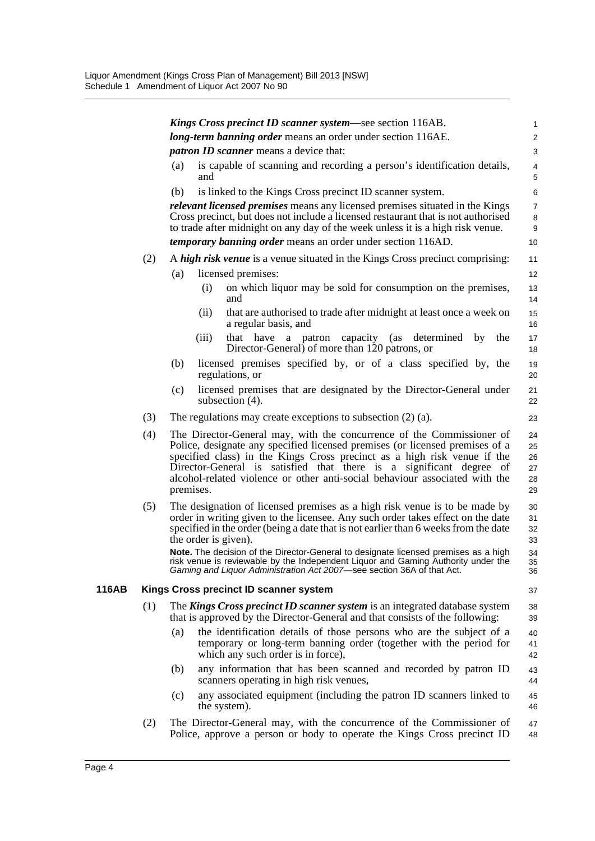|     |                                                                                                                                                                                                                                                                                                                                                                                                      | <b>Kings Cross precinct ID scanner system—see section 116AB.</b>                                                                                                                                                                                                                                                                                                                                                                                                                                                                   | 1                                      |  |  |
|-----|------------------------------------------------------------------------------------------------------------------------------------------------------------------------------------------------------------------------------------------------------------------------------------------------------------------------------------------------------------------------------------------------------|------------------------------------------------------------------------------------------------------------------------------------------------------------------------------------------------------------------------------------------------------------------------------------------------------------------------------------------------------------------------------------------------------------------------------------------------------------------------------------------------------------------------------------|----------------------------------------|--|--|
|     |                                                                                                                                                                                                                                                                                                                                                                                                      | long-term banning order means an order under section 116AE.                                                                                                                                                                                                                                                                                                                                                                                                                                                                        | $\overline{\mathbf{c}}$                |  |  |
|     |                                                                                                                                                                                                                                                                                                                                                                                                      | <i>patron ID scanner</i> means a device that:                                                                                                                                                                                                                                                                                                                                                                                                                                                                                      | 3                                      |  |  |
|     | (a)                                                                                                                                                                                                                                                                                                                                                                                                  | is capable of scanning and recording a person's identification details,<br>and                                                                                                                                                                                                                                                                                                                                                                                                                                                     | $\overline{4}$<br>5                    |  |  |
|     | (b)                                                                                                                                                                                                                                                                                                                                                                                                  | is linked to the Kings Cross precinct ID scanner system.                                                                                                                                                                                                                                                                                                                                                                                                                                                                           | 6                                      |  |  |
|     |                                                                                                                                                                                                                                                                                                                                                                                                      | <i>relevant licensed premises</i> means any licensed premises situated in the Kings<br>Cross precinct, but does not include a licensed restaurant that is not authorised<br>to trade after midnight on any day of the week unless it is a high risk venue.                                                                                                                                                                                                                                                                         | $\overline{7}$<br>8<br>9               |  |  |
|     |                                                                                                                                                                                                                                                                                                                                                                                                      | <i>temporary banning order</i> means an order under section 116AD.                                                                                                                                                                                                                                                                                                                                                                                                                                                                 | 10                                     |  |  |
| (2) |                                                                                                                                                                                                                                                                                                                                                                                                      | A high risk venue is a venue situated in the Kings Cross precinct comprising:                                                                                                                                                                                                                                                                                                                                                                                                                                                      | 11                                     |  |  |
|     | (a)                                                                                                                                                                                                                                                                                                                                                                                                  | licensed premises:                                                                                                                                                                                                                                                                                                                                                                                                                                                                                                                 | 12 <sup>2</sup>                        |  |  |
|     |                                                                                                                                                                                                                                                                                                                                                                                                      | on which liquor may be sold for consumption on the premises,<br>(i)<br>and                                                                                                                                                                                                                                                                                                                                                                                                                                                         | 13<br>14                               |  |  |
|     |                                                                                                                                                                                                                                                                                                                                                                                                      | that are authorised to trade after midnight at least once a week on<br>(ii)<br>a regular basis, and                                                                                                                                                                                                                                                                                                                                                                                                                                | 15<br>16                               |  |  |
|     |                                                                                                                                                                                                                                                                                                                                                                                                      | (iii)<br>that have a patron capacity (as determined<br>by<br>the<br>Director-General) of more than 120 patrons, or                                                                                                                                                                                                                                                                                                                                                                                                                 | 17<br>18                               |  |  |
|     | (b)                                                                                                                                                                                                                                                                                                                                                                                                  | licensed premises specified by, or of a class specified by, the<br>regulations, or                                                                                                                                                                                                                                                                                                                                                                                                                                                 | 19<br>20                               |  |  |
|     | (c)                                                                                                                                                                                                                                                                                                                                                                                                  | licensed premises that are designated by the Director-General under<br>subsection (4).                                                                                                                                                                                                                                                                                                                                                                                                                                             | 21<br>22                               |  |  |
| (3) |                                                                                                                                                                                                                                                                                                                                                                                                      | The regulations may create exceptions to subsection $(2)$ $(a)$ .                                                                                                                                                                                                                                                                                                                                                                                                                                                                  | 23                                     |  |  |
| (4) | The Director-General may, with the concurrence of the Commissioner of<br>Police, designate any specified licensed premises (or licensed premises of a<br>specified class) in the Kings Cross precinct as a high risk venue if the<br>Director-General is satisfied that there is a significant degree of<br>alcohol-related violence or other anti-social behaviour associated with the<br>premises. |                                                                                                                                                                                                                                                                                                                                                                                                                                                                                                                                    |                                        |  |  |
| (5) |                                                                                                                                                                                                                                                                                                                                                                                                      | The designation of licensed premises as a high risk venue is to be made by<br>order in writing given to the licensee. Any such order takes effect on the date<br>specified in the order (being a date that is not earlier than 6 weeks from the date<br>the order is given).<br>Note. The decision of the Director-General to designate licensed premises as a high<br>risk venue is reviewable by the Independent Liquor and Gaming Authority under the<br>Gaming and Liquor Administration Act 2007-see section 36A of that Act. | 30<br>31<br>32<br>33<br>34<br>35<br>36 |  |  |
|     |                                                                                                                                                                                                                                                                                                                                                                                                      | Kings Cross precinct ID scanner system                                                                                                                                                                                                                                                                                                                                                                                                                                                                                             | 37                                     |  |  |
| (1) |                                                                                                                                                                                                                                                                                                                                                                                                      | The Kings Cross precinct ID scanner system is an integrated database system                                                                                                                                                                                                                                                                                                                                                                                                                                                        | 38                                     |  |  |
|     |                                                                                                                                                                                                                                                                                                                                                                                                      | that is approved by the Director-General and that consists of the following:                                                                                                                                                                                                                                                                                                                                                                                                                                                       | 39                                     |  |  |
|     | (a)                                                                                                                                                                                                                                                                                                                                                                                                  | the identification details of those persons who are the subject of a<br>temporary or long-term banning order (together with the period for<br>which any such order is in force),                                                                                                                                                                                                                                                                                                                                                   | 40<br>41<br>42                         |  |  |
|     | (b)                                                                                                                                                                                                                                                                                                                                                                                                  | any information that has been scanned and recorded by patron ID<br>scanners operating in high risk venues,                                                                                                                                                                                                                                                                                                                                                                                                                         | 43<br>44                               |  |  |
|     | (c)                                                                                                                                                                                                                                                                                                                                                                                                  | any associated equipment (including the patron ID scanners linked to<br>the system).                                                                                                                                                                                                                                                                                                                                                                                                                                               | 45<br>46                               |  |  |
| (2) |                                                                                                                                                                                                                                                                                                                                                                                                      | The Director-General may, with the concurrence of the Commissioner of<br>Police, approve a person or body to operate the Kings Cross precinct ID                                                                                                                                                                                                                                                                                                                                                                                   | 47<br>48                               |  |  |

**116AB**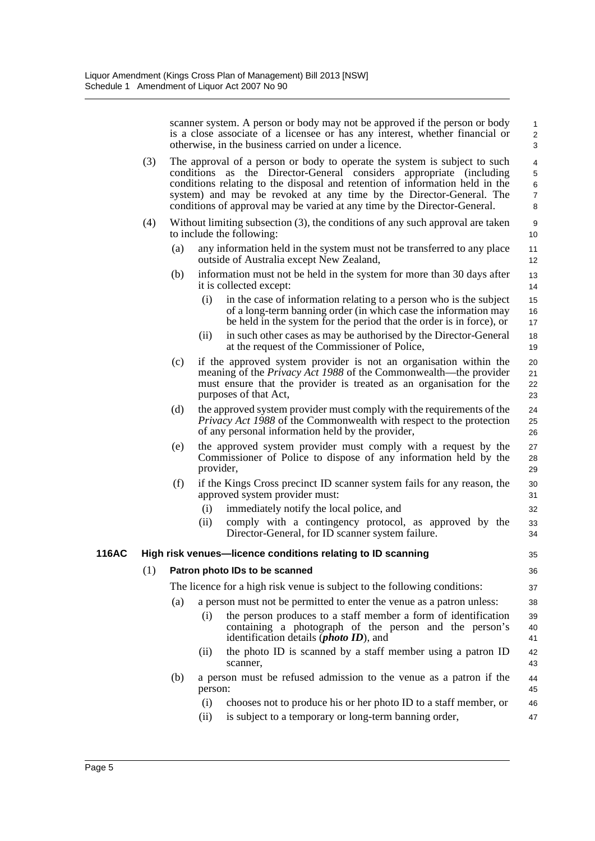scanner system. A person or body may not be approved if the person or body is a close associate of a licensee or has any interest, whether financial or otherwise, in the business carried on under a licence.

32 33 34

47

| (3) | The approval of a person or body to operate the system is subject to such    |
|-----|------------------------------------------------------------------------------|
|     | conditions as the Director-General considers appropriate (including          |
|     | conditions relating to the disposal and retention of information held in the |
|     | system) and may be revoked at any time by the Director-General. The          |
|     | conditions of approval may be varied at any time by the Director-General.    |

- (4) Without limiting subsection (3), the conditions of any such approval are taken to include the following:
	- (a) any information held in the system must not be transferred to any place outside of Australia except New Zealand,
	- (b) information must not be held in the system for more than 30 days after it is collected except:
		- (i) in the case of information relating to a person who is the subject of a long-term banning order (in which case the information may be held in the system for the period that the order is in force), or 15 16 17
		- (ii) in such other cases as may be authorised by the Director-General at the request of the Commissioner of Police,
	- (c) if the approved system provider is not an organisation within the meaning of the *Privacy Act 1988* of the Commonwealth—the provider must ensure that the provider is treated as an organisation for the purposes of that Act,
	- (d) the approved system provider must comply with the requirements of the *Privacy Act 1988* of the Commonwealth with respect to the protection of any personal information held by the provider,
	- (e) the approved system provider must comply with a request by the Commissioner of Police to dispose of any information held by the provider,
	- (f) if the Kings Cross precinct ID scanner system fails for any reason, the approved system provider must: 30 31
		- (i) immediately notify the local police, and
		- (ii) comply with a contingency protocol, as approved by the Director-General, for ID scanner system failure.

#### **116AC High risk venues—licence conditions relating to ID scanning**

#### (1) **Patron photo IDs to be scanned**

The licence for a high risk venue is subject to the following conditions:

- (a) a person must not be permitted to enter the venue as a patron unless:
	- (i) the person produces to a staff member a form of identification containing a photograph of the person and the person's identification details (*photo ID*), and
	- (ii) the photo ID is scanned by a staff member using a patron ID scanner,
- (b) a person must be refused admission to the venue as a patron if the person:
	- (i) chooses not to produce his or her photo ID to a staff member, or 46
	- (ii) is subject to a temporary or long-term banning order,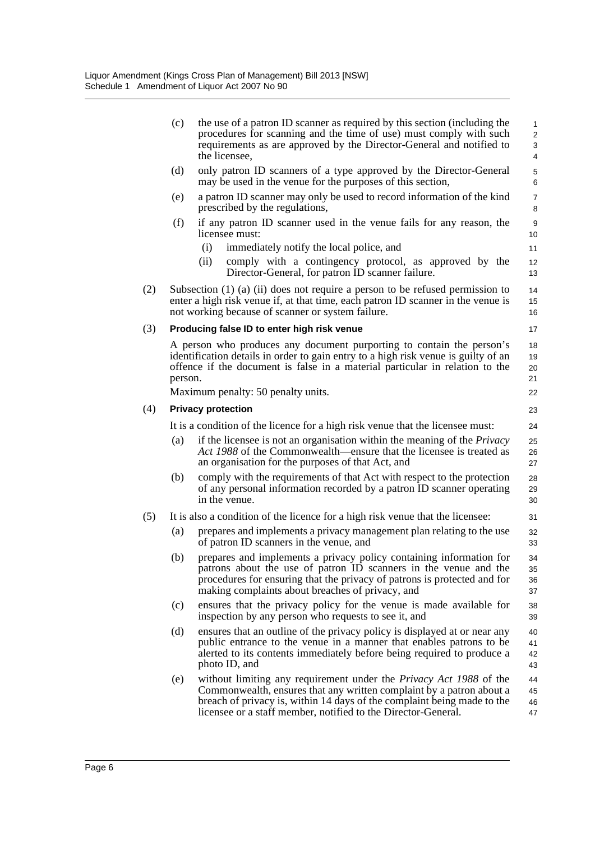|     | (c)                       | the use of a patron ID scanner as required by this section (including the<br>procedures for scanning and the time of use) must comply with such<br>requirements as are approved by the Director-General and notified to<br>the licensee,                                                      | 1<br>$\overline{\mathbf{c}}$<br>3<br>4 |  |  |  |
|-----|---------------------------|-----------------------------------------------------------------------------------------------------------------------------------------------------------------------------------------------------------------------------------------------------------------------------------------------|----------------------------------------|--|--|--|
|     | (d)                       | only patron ID scanners of a type approved by the Director-General<br>may be used in the venue for the purposes of this section,                                                                                                                                                              | 5<br>6                                 |  |  |  |
|     | (e)                       | a patron ID scanner may only be used to record information of the kind<br>prescribed by the regulations,                                                                                                                                                                                      | 7<br>8                                 |  |  |  |
|     | (f)                       | if any patron ID scanner used in the venue fails for any reason, the<br>licensee must:<br>(i)<br>immediately notify the local police, and                                                                                                                                                     | 9<br>10<br>11                          |  |  |  |
|     |                           | (ii)<br>comply with a contingency protocol, as approved by the<br>Director-General, for patron ID scanner failure.                                                                                                                                                                            | 12<br>13                               |  |  |  |
| (2) |                           | Subsection $(1)$ $(a)$ $(ii)$ does not require a person to be refused permission to<br>enter a high risk venue if, at that time, each patron ID scanner in the venue is<br>not working because of scanner or system failure.                                                                  | 14<br>15<br>16                         |  |  |  |
| (3) |                           | Producing false ID to enter high risk venue                                                                                                                                                                                                                                                   | 17                                     |  |  |  |
|     | person.                   | A person who produces any document purporting to contain the person's<br>identification details in order to gain entry to a high risk venue is guilty of an<br>offence if the document is false in a material particular in relation to the                                                   | 18<br>19<br>20<br>21                   |  |  |  |
|     |                           | Maximum penalty: 50 penalty units.                                                                                                                                                                                                                                                            | 22                                     |  |  |  |
| (4) | <b>Privacy protection</b> |                                                                                                                                                                                                                                                                                               |                                        |  |  |  |
|     |                           | It is a condition of the licence for a high risk venue that the licensee must:                                                                                                                                                                                                                | 24                                     |  |  |  |
|     | (a)                       | if the licensee is not an organisation within the meaning of the <i>Privacy</i><br>Act 1988 of the Commonwealth—ensure that the licensee is treated as<br>an organisation for the purposes of that Act, and                                                                                   | 25<br>26<br>27                         |  |  |  |
|     | (b)                       | comply with the requirements of that Act with respect to the protection<br>of any personal information recorded by a patron ID scanner operating<br>in the venue.                                                                                                                             | 28<br>29<br>30                         |  |  |  |
| (5) |                           | It is also a condition of the licence for a high risk venue that the licensee:                                                                                                                                                                                                                | 31                                     |  |  |  |
|     | (a)                       | prepares and implements a privacy management plan relating to the use<br>of patron ID scanners in the venue, and                                                                                                                                                                              | 32<br>33                               |  |  |  |
|     | (b)                       | prepares and implements a privacy policy containing information for<br>patrons about the use of patron ID scanners in the venue and the<br>procedures for ensuring that the privacy of patrons is protected and for<br>making complaints about breaches of privacy, and                       | 34<br>35<br>36<br>37                   |  |  |  |
|     | (c)                       | ensures that the privacy policy for the venue is made available for<br>inspection by any person who requests to see it, and                                                                                                                                                                   | 38<br>39                               |  |  |  |
|     | (d)                       | ensures that an outline of the privacy policy is displayed at or near any<br>public entrance to the venue in a manner that enables patrons to be<br>alerted to its contents immediately before being required to produce a<br>photo ID, and                                                   | 40<br>41<br>42<br>43                   |  |  |  |
|     | (e)                       | without limiting any requirement under the <i>Privacy Act 1988</i> of the<br>Commonwealth, ensures that any written complaint by a patron about a<br>breach of privacy is, within 14 days of the complaint being made to the<br>licensee or a staff member, notified to the Director-General. | 44<br>45<br>46<br>47                   |  |  |  |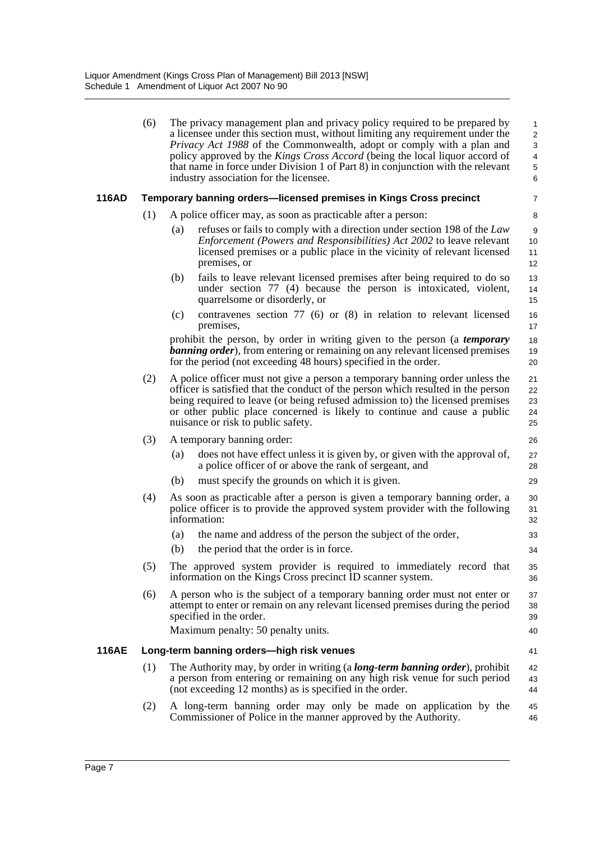|              | (6) | The privacy management plan and privacy policy required to be prepared by<br>a licensee under this section must, without limiting any requirement under the<br>Privacy Act 1988 of the Commonwealth, adopt or comply with a plan and<br>policy approved by the Kings Cross Accord (being the local liquor accord of<br>that name in force under Division 1 of Part 8) in conjunction with the relevant<br>industry association for the licensee. | 1<br>$\overline{\mathbf{c}}$<br>3<br>4<br>5<br>6 |
|--------------|-----|--------------------------------------------------------------------------------------------------------------------------------------------------------------------------------------------------------------------------------------------------------------------------------------------------------------------------------------------------------------------------------------------------------------------------------------------------|--------------------------------------------------|
| 116AD        |     | <b>Temporary banning orders—licensed premises in Kings Cross precinct</b>                                                                                                                                                                                                                                                                                                                                                                        | 7                                                |
|              | (1) | A police officer may, as soon as practicable after a person:                                                                                                                                                                                                                                                                                                                                                                                     | 8                                                |
|              |     | refuses or fails to comply with a direction under section 198 of the Law<br>(a)<br><i>Enforcement (Powers and Responsibilities) Act 2002 to leave relevant</i><br>licensed premises or a public place in the vicinity of relevant licensed<br>premises, or                                                                                                                                                                                       | 9<br>10<br>11<br>12                              |
|              |     | fails to leave relevant licensed premises after being required to do so<br>(b)<br>under section 77 (4) because the person is intoxicated, violent,<br>quarrelsome or disorderly, or                                                                                                                                                                                                                                                              | 13<br>14<br>15                                   |
|              |     | contravenes section $77$ (6) or (8) in relation to relevant licensed<br>(c)<br>premises,                                                                                                                                                                                                                                                                                                                                                         | 16<br>17                                         |
|              |     | prohibit the person, by order in writing given to the person (a <i>temporary</i><br><b>banning order</b> ), from entering or remaining on any relevant licensed premises<br>for the period (not exceeding 48 hours) specified in the order.                                                                                                                                                                                                      | 18<br>19<br>20                                   |
|              | (2) | A police officer must not give a person a temporary banning order unless the<br>officer is satisfied that the conduct of the person which resulted in the person<br>being required to leave (or being refused admission to) the licensed premises<br>or other public place concerned is likely to continue and cause a public<br>nuisance or risk to public safety.                                                                              | 21<br>22<br>23<br>24<br>25                       |
|              | (3) | A temporary banning order:                                                                                                                                                                                                                                                                                                                                                                                                                       | 26                                               |
|              |     | does not have effect unless it is given by, or given with the approval of,<br>(a)<br>a police officer of or above the rank of sergeant, and                                                                                                                                                                                                                                                                                                      | 27<br>28                                         |
|              |     | must specify the grounds on which it is given.<br>(b)                                                                                                                                                                                                                                                                                                                                                                                            | 29                                               |
|              | (4) | As soon as practicable after a person is given a temporary banning order, a<br>police officer is to provide the approved system provider with the following<br>information:                                                                                                                                                                                                                                                                      | 30<br>31<br>32                                   |
|              |     | (a)<br>the name and address of the person the subject of the order,                                                                                                                                                                                                                                                                                                                                                                              | 33                                               |
|              |     | (b)<br>the period that the order is in force.                                                                                                                                                                                                                                                                                                                                                                                                    | 34                                               |
|              | (5) | The approved system provider is required to immediately record that<br>information on the Kings Cross precinct ID scanner system.                                                                                                                                                                                                                                                                                                                | 35<br>36                                         |
|              | (6) | A person who is the subject of a temporary banning order must not enter or<br>attempt to enter or remain on any relevant licensed premises during the period<br>specified in the order.<br>Maximum penalty: 50 penalty units.                                                                                                                                                                                                                    | 37<br>38<br>39<br>40                             |
|              |     |                                                                                                                                                                                                                                                                                                                                                                                                                                                  |                                                  |
| <b>116AE</b> |     | Long-term banning orders-high risk venues                                                                                                                                                                                                                                                                                                                                                                                                        | 41                                               |
|              | (1) | The Authority may, by order in writing (a <b>long-term banning order</b> ), prohibit<br>a person from entering or remaining on any high risk venue for such period<br>(not exceeding 12 months) as is specified in the order.                                                                                                                                                                                                                    | 42<br>43<br>44                                   |
|              | (2) | A long-term banning order may only be made on application by the<br>Commissioner of Police in the manner approved by the Authority.                                                                                                                                                                                                                                                                                                              | 45<br>46                                         |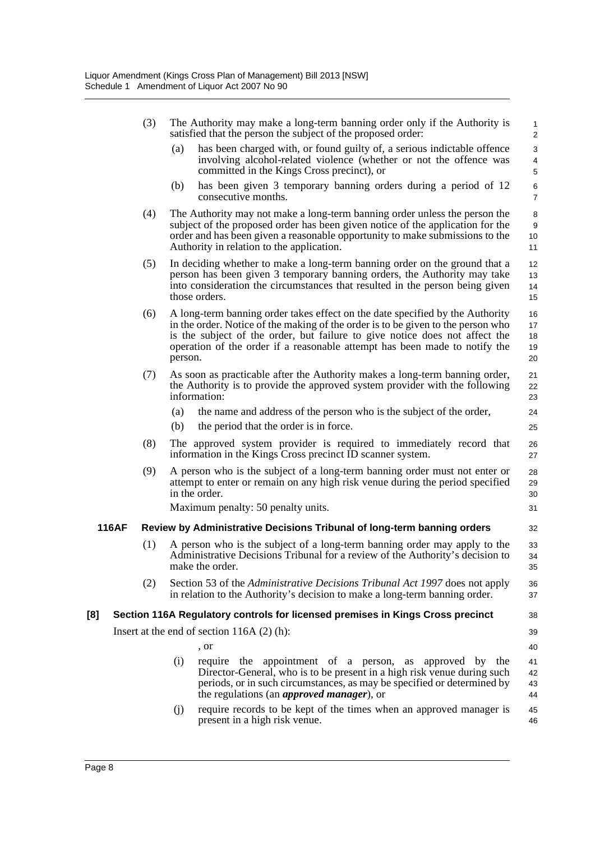|              | (3) | The Authority may make a long-term banning order only if the Authority is<br>satisfied that the person the subject of the proposed order:                                                                                                                                                                                                 | $\mathbf{1}$<br>$\sqrt{2}$                 |
|--------------|-----|-------------------------------------------------------------------------------------------------------------------------------------------------------------------------------------------------------------------------------------------------------------------------------------------------------------------------------------------|--------------------------------------------|
|              |     | has been charged with, or found guilty of, a serious indictable offence<br>(a)<br>involving alcohol-related violence (whether or not the offence was<br>committed in the Kings Cross precinct), or                                                                                                                                        | $\sqrt{3}$<br>$\overline{\mathbf{4}}$<br>5 |
|              |     | has been given 3 temporary banning orders during a period of 12<br>(b)<br>consecutive months.                                                                                                                                                                                                                                             | $\,6$<br>$\overline{7}$                    |
|              | (4) | The Authority may not make a long-term banning order unless the person the<br>subject of the proposed order has been given notice of the application for the<br>order and has been given a reasonable opportunity to make submissions to the<br>Authority in relation to the application.                                                 | 8<br>9<br>10<br>11                         |
|              | (5) | In deciding whether to make a long-term banning order on the ground that a<br>person has been given 3 temporary banning orders, the Authority may take<br>into consideration the circumstances that resulted in the person being given<br>those orders.                                                                                   | 12<br>13<br>14<br>15                       |
|              | (6) | A long-term banning order takes effect on the date specified by the Authority<br>in the order. Notice of the making of the order is to be given to the person who<br>is the subject of the order, but failure to give notice does not affect the<br>operation of the order if a reasonable attempt has been made to notify the<br>person. | 16<br>17<br>18<br>19<br>20                 |
|              | (7) | As soon as practicable after the Authority makes a long-term banning order,<br>the Authority is to provide the approved system provider with the following<br>information:                                                                                                                                                                | 21<br>22<br>23                             |
|              |     | the name and address of the person who is the subject of the order,<br>(a)                                                                                                                                                                                                                                                                | 24                                         |
|              |     | (b)<br>the period that the order is in force.                                                                                                                                                                                                                                                                                             | 25                                         |
|              | (8) | The approved system provider is required to immediately record that<br>information in the Kings Cross precinct ID scanner system.                                                                                                                                                                                                         | 26<br>27                                   |
|              | (9) | A person who is the subject of a long-term banning order must not enter or<br>attempt to enter or remain on any high risk venue during the period specified<br>in the order.                                                                                                                                                              | 28<br>29<br>30                             |
|              |     | Maximum penalty: 50 penalty units.                                                                                                                                                                                                                                                                                                        | 31                                         |
| <b>116AF</b> |     | Review by Administrative Decisions Tribunal of long-term banning orders                                                                                                                                                                                                                                                                   | 32                                         |
|              | (1) | A person who is the subject of a long-term banning order may apply to the<br>Administrative Decisions Tribunal for a review of the Authority's decision to<br>make the order.                                                                                                                                                             | 33<br>34<br>35                             |
|              | (2) | Section 53 of the Administrative Decisions Tribunal Act 1997 does not apply<br>in relation to the Authority's decision to make a long-term banning order.                                                                                                                                                                                 | 36<br>37                                   |
| [8]          |     | Section 116A Regulatory controls for licensed premises in Kings Cross precinct                                                                                                                                                                                                                                                            | 38                                         |
|              |     | Insert at the end of section $116A(2)(h)$ :                                                                                                                                                                                                                                                                                               | 39                                         |
|              |     | , or                                                                                                                                                                                                                                                                                                                                      | 40                                         |
|              |     | (i)<br>require the appointment of a person, as approved by the<br>Director-General, who is to be present in a high risk venue during such<br>periods, or in such circumstances, as may be specified or determined by<br>the regulations (an <i>approved manager</i> ), or                                                                 | 41<br>42<br>43<br>44                       |
|              |     | require records to be kept of the times when an approved manager is<br>(j)<br>present in a high risk venue.                                                                                                                                                                                                                               | 45<br>46                                   |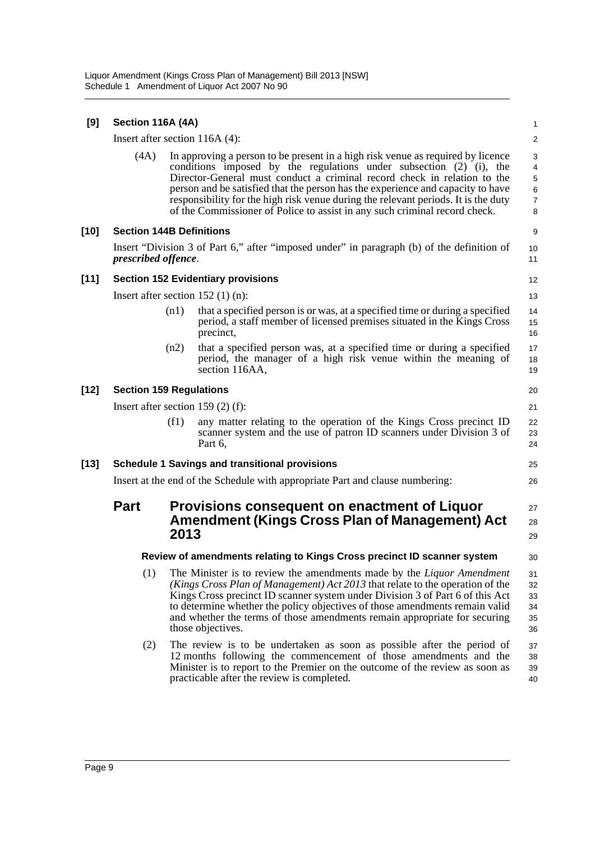| [9]    | Section 116A (4A)               |      |                                                                                                                                                                                                                                                                                                                                                                                                                                                                                           | 1                                       |
|--------|---------------------------------|------|-------------------------------------------------------------------------------------------------------------------------------------------------------------------------------------------------------------------------------------------------------------------------------------------------------------------------------------------------------------------------------------------------------------------------------------------------------------------------------------------|-----------------------------------------|
|        |                                 |      | Insert after section $116A(4)$ :                                                                                                                                                                                                                                                                                                                                                                                                                                                          | $\overline{\mathbf{c}}$                 |
|        | (4A)                            |      | In approving a person to be present in a high risk venue as required by licence<br>conditions imposed by the regulations under subsection (2) (i), the<br>Director-General must conduct a criminal record check in relation to the<br>person and be satisfied that the person has the experience and capacity to have<br>responsibility for the high risk venue during the relevant periods. It is the duty<br>of the Commissioner of Police to assist in any such criminal record check. | 3<br>4<br>5<br>6<br>$\overline{7}$<br>8 |
| [10]   | <b>Section 144B Definitions</b> |      |                                                                                                                                                                                                                                                                                                                                                                                                                                                                                           | 9                                       |
|        | <i>prescribed offence.</i>      |      | Insert "Division 3 of Part 6," after "imposed under" in paragraph (b) of the definition of                                                                                                                                                                                                                                                                                                                                                                                                | 10<br>11                                |
| $[11]$ |                                 |      | <b>Section 152 Evidentiary provisions</b>                                                                                                                                                                                                                                                                                                                                                                                                                                                 | 12                                      |
|        |                                 |      | Insert after section $152$ (1) (n):                                                                                                                                                                                                                                                                                                                                                                                                                                                       | 13                                      |
|        |                                 | (n1) | that a specified person is or was, at a specified time or during a specified<br>period, a staff member of licensed premises situated in the Kings Cross<br>precinct,                                                                                                                                                                                                                                                                                                                      | 14<br>15<br>16                          |
|        |                                 | (n2) | that a specified person was, at a specified time or during a specified<br>period, the manager of a high risk venue within the meaning of<br>section 116AA,                                                                                                                                                                                                                                                                                                                                | 17<br>18<br>19                          |
| $[12]$ | <b>Section 159 Regulations</b>  |      |                                                                                                                                                                                                                                                                                                                                                                                                                                                                                           | 20                                      |
|        |                                 |      | Insert after section 159 $(2)$ (f):                                                                                                                                                                                                                                                                                                                                                                                                                                                       | 21                                      |
|        |                                 | (f1) | any matter relating to the operation of the Kings Cross precinct ID<br>scanner system and the use of patron ID scanners under Division 3 of<br>Part 6,                                                                                                                                                                                                                                                                                                                                    | 22<br>23<br>24                          |
| [13]   |                                 |      | <b>Schedule 1 Savings and transitional provisions</b>                                                                                                                                                                                                                                                                                                                                                                                                                                     | 25                                      |
|        |                                 |      | Insert at the end of the Schedule with appropriate Part and clause numbering:                                                                                                                                                                                                                                                                                                                                                                                                             | 26                                      |
|        | <b>Part</b>                     | 2013 | Provisions consequent on enactment of Liquor<br><b>Amendment (Kings Cross Plan of Management) Act</b>                                                                                                                                                                                                                                                                                                                                                                                     | 27<br>28<br>29                          |
|        |                                 |      | Review of amendments relating to Kings Cross precinct ID scanner system                                                                                                                                                                                                                                                                                                                                                                                                                   | 30                                      |
|        | (1)                             |      | The Minister is to review the amendments made by the <i>Liquor Amendment</i><br>(Kings Cross Plan of Management) Act 2013 that relate to the operation of the<br>Kings Cross precinct ID scanner system under Division 3 of Part 6 of this Act<br>to determine whether the policy objectives of those amendments remain valid<br>and whether the terms of those amendments remain appropriate for securing<br>those objectives.                                                           | 31<br>32<br>33<br>34<br>35<br>36        |
|        | (2)                             |      | The review is to be undertaken as soon as possible after the period of<br>12 months following the commencement of those amendments and the<br>Minister is to report to the Premier on the outcome of the review as soon as<br>practicable after the review is completed.                                                                                                                                                                                                                  | 37<br>38<br>39<br>40                    |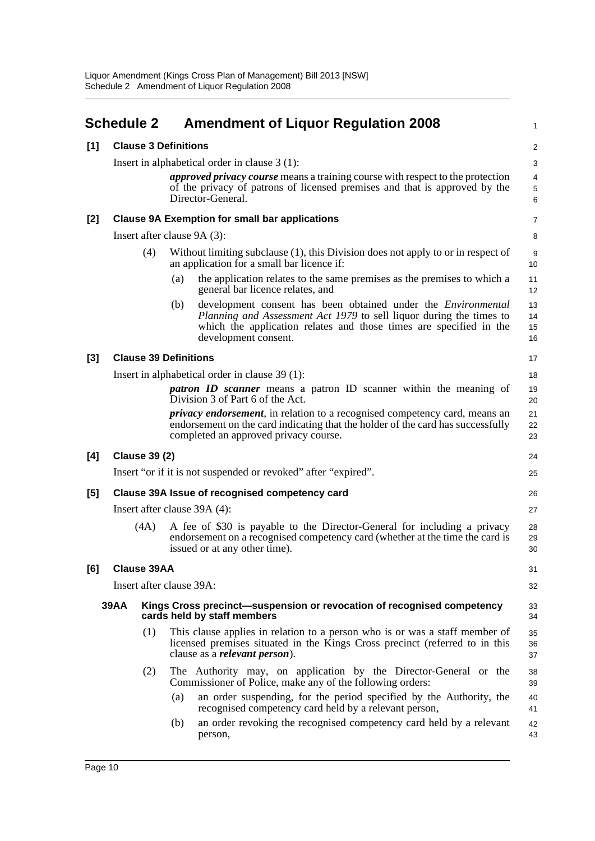<span id="page-13-0"></span>

|       | <b>Schedule 2</b>            |                              |     | <b>Amendment of Liquor Regulation 2008</b>                                                                                                                                                                                                       | $\mathbf{1}$                       |  |
|-------|------------------------------|------------------------------|-----|--------------------------------------------------------------------------------------------------------------------------------------------------------------------------------------------------------------------------------------------------|------------------------------------|--|
| [1]   | <b>Clause 3 Definitions</b>  |                              |     |                                                                                                                                                                                                                                                  |                                    |  |
|       |                              |                              |     | Insert in alphabetical order in clause $3(1)$ :                                                                                                                                                                                                  | 3                                  |  |
|       |                              |                              |     | approved privacy course means a training course with respect to the protection<br>of the privacy of patrons of licensed premises and that is approved by the<br>Director-General.                                                                | $\overline{4}$<br>$\,$ 5 $\,$<br>6 |  |
| [2]   |                              |                              |     | <b>Clause 9A Exemption for small bar applications</b>                                                                                                                                                                                            | $\overline{7}$                     |  |
|       |                              |                              |     | Insert after clause 9A (3):                                                                                                                                                                                                                      | 8                                  |  |
|       |                              | (4)                          |     | Without limiting subclause (1), this Division does not apply to or in respect of<br>an application for a small bar licence if:                                                                                                                   | 9<br>10                            |  |
|       |                              |                              | (a) | the application relates to the same premises as the premises to which a<br>general bar licence relates, and                                                                                                                                      | 11<br>12                           |  |
|       |                              |                              | (b) | development consent has been obtained under the <i>Environmental</i><br><i>Planning and Assessment Act 1979</i> to sell liquor during the times to<br>which the application relates and those times are specified in the<br>development consent. | 13<br>14<br>15<br>16               |  |
| $[3]$ |                              | <b>Clause 39 Definitions</b> |     |                                                                                                                                                                                                                                                  | 17                                 |  |
|       |                              |                              |     | Insert in alphabetical order in clause 39 (1):                                                                                                                                                                                                   | 18                                 |  |
|       |                              |                              |     | <i>patron ID scanner</i> means a patron ID scanner within the meaning of<br>Division 3 of Part 6 of the Act.                                                                                                                                     | 19<br>20                           |  |
|       |                              |                              |     | <i>privacy endorsement</i> , in relation to a recognised competency card, means an<br>endorsement on the card indicating that the holder of the card has successfully<br>completed an approved privacy course.                                   | 21<br>22<br>23                     |  |
| [4]   |                              | <b>Clause 39 (2)</b>         |     |                                                                                                                                                                                                                                                  | 24                                 |  |
|       |                              |                              |     | Insert "or if it is not suspended or revoked" after "expired".                                                                                                                                                                                   | 25                                 |  |
| $[5]$ |                              |                              |     | Clause 39A Issue of recognised competency card                                                                                                                                                                                                   | 26                                 |  |
|       | Insert after clause 39A (4): |                              |     |                                                                                                                                                                                                                                                  | 27                                 |  |
|       |                              | (4A)                         |     | A fee of \$30 is payable to the Director-General for including a privacy<br>endorsement on a recognised competency card (whether at the time the card is<br>issued or at any other time).                                                        | 28<br>29<br>30                     |  |
| [6]   |                              | <b>Clause 39AA</b>           |     |                                                                                                                                                                                                                                                  | 31                                 |  |
|       |                              | Insert after clause 39A:     |     |                                                                                                                                                                                                                                                  | 32                                 |  |
|       | <b>39AA</b>                  |                              |     | Kings Cross precinct—suspension or revocation of recognised competency<br>cards held by staff members                                                                                                                                            | 33<br>34                           |  |
|       |                              | (1)                          |     | This clause applies in relation to a person who is or was a staff member of<br>licensed premises situated in the Kings Cross precinct (referred to in this<br>clause as a <i>relevant</i> person).                                               | 35<br>36<br>37                     |  |
|       |                              | (2)                          |     | The Authority may, on application by the Director-General or the<br>Commissioner of Police, make any of the following orders:                                                                                                                    | 38<br>39                           |  |
|       |                              |                              | (a) | an order suspending, for the period specified by the Authority, the<br>recognised competency card held by a relevant person,                                                                                                                     | 40<br>41                           |  |
|       |                              |                              | (b) | an order revoking the recognised competency card held by a relevant<br>person,                                                                                                                                                                   | 42<br>43                           |  |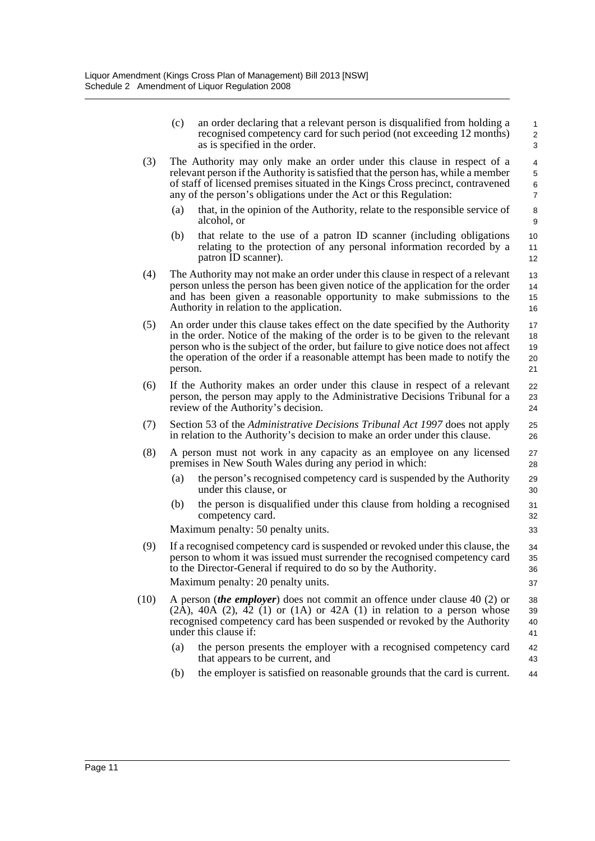|      | (c)                                                                                                                                                                                              | an order declaring that a relevant person is disqualified from holding a<br>recognised competency card for such period (not exceeding 12 months)<br>as is specified in the order.                                                                                                                                                        | $\mathbf{1}$<br>$\overline{c}$<br>3 |  |  |  |
|------|--------------------------------------------------------------------------------------------------------------------------------------------------------------------------------------------------|------------------------------------------------------------------------------------------------------------------------------------------------------------------------------------------------------------------------------------------------------------------------------------------------------------------------------------------|-------------------------------------|--|--|--|
| (3)  |                                                                                                                                                                                                  | The Authority may only make an order under this clause in respect of a<br>relevant person if the Authority is satisfied that the person has, while a member<br>of staff of licensed premises situated in the Kings Cross precinct, contravened<br>any of the person's obligations under the Act or this Regulation:                      | 4<br>5<br>6<br>$\overline{7}$       |  |  |  |
|      | (a)                                                                                                                                                                                              | that, in the opinion of the Authority, relate to the responsible service of<br>alcohol, or                                                                                                                                                                                                                                               | 8<br>9                              |  |  |  |
|      | (b)                                                                                                                                                                                              | that relate to the use of a patron ID scanner (including obligations<br>relating to the protection of any personal information recorded by a<br>patron ID scanner).                                                                                                                                                                      | 10<br>11<br>12                      |  |  |  |
| (4)  |                                                                                                                                                                                                  | The Authority may not make an order under this clause in respect of a relevant<br>person unless the person has been given notice of the application for the order<br>and has been given a reasonable opportunity to make submissions to the<br>Authority in relation to the application.                                                 | 13<br>14<br>15<br>16                |  |  |  |
| (5)  | person.                                                                                                                                                                                          | An order under this clause takes effect on the date specified by the Authority<br>in the order. Notice of the making of the order is to be given to the relevant<br>person who is the subject of the order, but failure to give notice does not affect<br>the operation of the order if a reasonable attempt has been made to notify the | 17<br>18<br>19<br>20<br>21          |  |  |  |
| (6)  | If the Authority makes an order under this clause in respect of a relevant<br>person, the person may apply to the Administrative Decisions Tribunal for a<br>review of the Authority's decision. |                                                                                                                                                                                                                                                                                                                                          |                                     |  |  |  |
| (7)  | Section 53 of the <i>Administrative Decisions Tribunal Act 1997</i> does not apply<br>in relation to the Authority's decision to make an order under this clause.                                |                                                                                                                                                                                                                                                                                                                                          |                                     |  |  |  |
| (8)  |                                                                                                                                                                                                  | A person must not work in any capacity as an employee on any licensed<br>premises in New South Wales during any period in which:                                                                                                                                                                                                         | 27<br>28                            |  |  |  |
|      | (a)                                                                                                                                                                                              | the person's recognised competency card is suspended by the Authority<br>under this clause, or                                                                                                                                                                                                                                           | 29<br>30                            |  |  |  |
|      | (b)                                                                                                                                                                                              | the person is disqualified under this clause from holding a recognised<br>competency card.<br>Maximum penalty: 50 penalty units.                                                                                                                                                                                                         | 31<br>32<br>33                      |  |  |  |
| (9)  |                                                                                                                                                                                                  | If a recognised competency card is suspended or revoked under this clause, the<br>person to whom it was issued must surrender the recognised competency card<br>to the Director-General if required to do so by the Authority.                                                                                                           | 34<br>35<br>36                      |  |  |  |
|      |                                                                                                                                                                                                  | Maximum penalty: 20 penalty units.                                                                                                                                                                                                                                                                                                       | 37                                  |  |  |  |
| (10) |                                                                                                                                                                                                  | A person <i>(the employer)</i> does not commit an offence under clause 40 (2) or<br>$(2A)$ , 40A $(2)$ , 42 $(1)$ or $(1A)$ or 42A $(1)$ in relation to a person whose<br>recognised competency card has been suspended or revoked by the Authority<br>under this clause if:                                                             | 38<br>39<br>40<br>41                |  |  |  |
|      | (a)                                                                                                                                                                                              | the person presents the employer with a recognised competency card<br>that appears to be current, and                                                                                                                                                                                                                                    | 42<br>43                            |  |  |  |
|      | (b)                                                                                                                                                                                              | the employer is satisfied on reasonable grounds that the card is current.                                                                                                                                                                                                                                                                | 44                                  |  |  |  |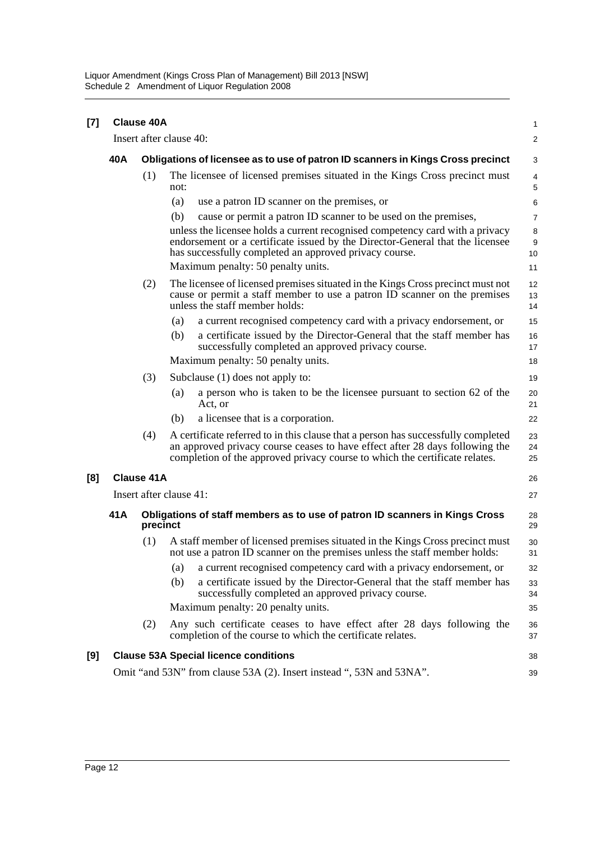| [7] |                         | <b>Clause 40A</b>                                                               |                                                                                                                                                                                                                                                  | 1                       |  |  |  |
|-----|-------------------------|---------------------------------------------------------------------------------|--------------------------------------------------------------------------------------------------------------------------------------------------------------------------------------------------------------------------------------------------|-------------------------|--|--|--|
|     |                         |                                                                                 | Insert after clause 40:                                                                                                                                                                                                                          | $\overline{\mathbf{c}}$ |  |  |  |
|     | 40A                     | Obligations of licensee as to use of patron ID scanners in Kings Cross precinct |                                                                                                                                                                                                                                                  |                         |  |  |  |
|     |                         | (1)                                                                             | The licensee of licensed premises situated in the Kings Cross precinct must<br>not:                                                                                                                                                              | 4<br>5                  |  |  |  |
|     |                         |                                                                                 | (a)<br>use a patron ID scanner on the premises, or                                                                                                                                                                                               | 6                       |  |  |  |
|     |                         |                                                                                 | cause or permit a patron ID scanner to be used on the premises,<br>(b)                                                                                                                                                                           | 7                       |  |  |  |
|     |                         |                                                                                 | unless the licensee holds a current recognised competency card with a privacy<br>endorsement or a certificate issued by the Director-General that the licensee<br>has successfully completed an approved privacy course.                         | 8<br>9<br>10            |  |  |  |
|     |                         |                                                                                 | Maximum penalty: 50 penalty units.                                                                                                                                                                                                               | 11                      |  |  |  |
|     |                         | (2)                                                                             | The licensee of licensed premises situated in the Kings Cross precinct must not<br>cause or permit a staff member to use a patron ID scanner on the premises<br>unless the staff member holds:                                                   | 12<br>13<br>14          |  |  |  |
|     |                         |                                                                                 | a current recognised competency card with a privacy endorsement, or<br>(a)                                                                                                                                                                       | 15                      |  |  |  |
|     |                         |                                                                                 | a certificate issued by the Director-General that the staff member has<br>(b)<br>successfully completed an approved privacy course.                                                                                                              | 16<br>17                |  |  |  |
|     |                         |                                                                                 | Maximum penalty: 50 penalty units.                                                                                                                                                                                                               | 18                      |  |  |  |
|     |                         | (3)                                                                             | Subclause (1) does not apply to:                                                                                                                                                                                                                 | 19                      |  |  |  |
|     |                         |                                                                                 | a person who is taken to be the licensee pursuant to section 62 of the<br>(a)<br>Act, or                                                                                                                                                         | 20<br>21                |  |  |  |
|     |                         |                                                                                 | a licensee that is a corporation.<br>(b)                                                                                                                                                                                                         | 22                      |  |  |  |
|     |                         | (4)                                                                             | A certificate referred to in this clause that a person has successfully completed<br>an approved privacy course ceases to have effect after 28 days following the<br>completion of the approved privacy course to which the certificate relates. | 23<br>24<br>25          |  |  |  |
| [8] | <b>Clause 41A</b>       |                                                                                 |                                                                                                                                                                                                                                                  |                         |  |  |  |
|     | Insert after clause 41: |                                                                                 |                                                                                                                                                                                                                                                  |                         |  |  |  |
|     | 41A                     | precinct                                                                        | Obligations of staff members as to use of patron ID scanners in Kings Cross                                                                                                                                                                      | 28<br>29                |  |  |  |
|     |                         | (1)                                                                             | A staff member of licensed premises situated in the Kings Cross precinct must<br>not use a patron ID scanner on the premises unless the staff member holds:                                                                                      | 30<br>31                |  |  |  |
|     |                         |                                                                                 | a current recognised competency card with a privacy endorsement, or<br>(a)                                                                                                                                                                       | 32                      |  |  |  |
|     |                         |                                                                                 | a certificate issued by the Director-General that the staff member has<br>(b)<br>successfully completed an approved privacy course.                                                                                                              | 33<br>34                |  |  |  |
|     |                         |                                                                                 | Maximum penalty: 20 penalty units.                                                                                                                                                                                                               | 35                      |  |  |  |
|     |                         | (2)                                                                             | Any such certificate ceases to have effect after 28 days following the<br>completion of the course to which the certificate relates.                                                                                                             | 36<br>37                |  |  |  |
| [9] |                         |                                                                                 | <b>Clause 53A Special licence conditions</b>                                                                                                                                                                                                     | 38                      |  |  |  |
|     |                         |                                                                                 | Omit "and 53N" from clause 53A (2). Insert instead ", 53N and 53NA".                                                                                                                                                                             | 39                      |  |  |  |
|     |                         |                                                                                 |                                                                                                                                                                                                                                                  |                         |  |  |  |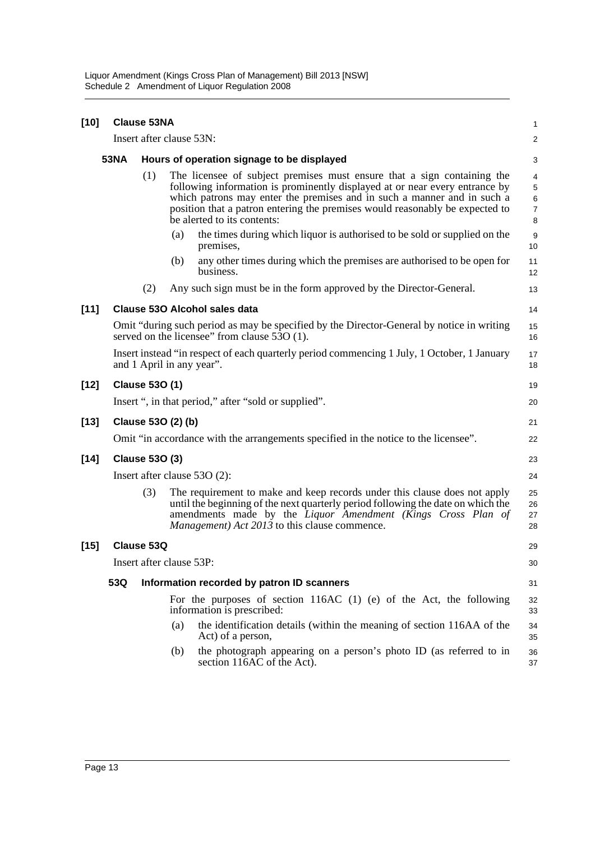| $[10]$ | <b>Clause 53NA</b>                                                                                                                                     |                                                                                     |                                                                                                                                                                                                                                                                                                                                                  |                                                                                                                                                                                                                                                                                               |                      |  |  |  |  |  |  |
|--------|--------------------------------------------------------------------------------------------------------------------------------------------------------|-------------------------------------------------------------------------------------|--------------------------------------------------------------------------------------------------------------------------------------------------------------------------------------------------------------------------------------------------------------------------------------------------------------------------------------------------|-----------------------------------------------------------------------------------------------------------------------------------------------------------------------------------------------------------------------------------------------------------------------------------------------|----------------------|--|--|--|--|--|--|
|        | Insert after clause 53N:                                                                                                                               |                                                                                     |                                                                                                                                                                                                                                                                                                                                                  |                                                                                                                                                                                                                                                                                               |                      |  |  |  |  |  |  |
|        | <b>53NA</b>                                                                                                                                            |                                                                                     | Hours of operation signage to be displayed                                                                                                                                                                                                                                                                                                       |                                                                                                                                                                                                                                                                                               |                      |  |  |  |  |  |  |
|        |                                                                                                                                                        | (1)                                                                                 | The licensee of subject premises must ensure that a sign containing the<br>following information is prominently displayed at or near every entrance by<br>which patrons may enter the premises and in such a manner and in such a<br>position that a patron entering the premises would reasonably be expected to<br>be alerted to its contents: |                                                                                                                                                                                                                                                                                               |                      |  |  |  |  |  |  |
|        |                                                                                                                                                        |                                                                                     | (a)                                                                                                                                                                                                                                                                                                                                              | the times during which liquor is authorised to be sold or supplied on the<br>premises,                                                                                                                                                                                                        | 9<br>10              |  |  |  |  |  |  |
|        |                                                                                                                                                        |                                                                                     | (b)                                                                                                                                                                                                                                                                                                                                              | any other times during which the premises are authorised to be open for<br>business.                                                                                                                                                                                                          | 11<br>12             |  |  |  |  |  |  |
|        |                                                                                                                                                        | (2)                                                                                 |                                                                                                                                                                                                                                                                                                                                                  | Any such sign must be in the form approved by the Director-General.                                                                                                                                                                                                                           | 13                   |  |  |  |  |  |  |
| $[11]$ | <b>Clause 530 Alcohol sales data</b>                                                                                                                   |                                                                                     |                                                                                                                                                                                                                                                                                                                                                  |                                                                                                                                                                                                                                                                                               |                      |  |  |  |  |  |  |
|        | Omit "during such period as may be specified by the Director-General by notice in writing<br>served on the licensee" from clause $5\overline{3}O(1)$ . |                                                                                     |                                                                                                                                                                                                                                                                                                                                                  |                                                                                                                                                                                                                                                                                               |                      |  |  |  |  |  |  |
|        | Insert instead "in respect of each quarterly period commencing 1 July, 1 October, 1 January<br>and 1 April in any year".                               |                                                                                     |                                                                                                                                                                                                                                                                                                                                                  |                                                                                                                                                                                                                                                                                               |                      |  |  |  |  |  |  |
| [12]   |                                                                                                                                                        | <b>Clause 530 (1)</b>                                                               |                                                                                                                                                                                                                                                                                                                                                  |                                                                                                                                                                                                                                                                                               |                      |  |  |  |  |  |  |
|        | Insert ", in that period," after "sold or supplied".                                                                                                   |                                                                                     |                                                                                                                                                                                                                                                                                                                                                  |                                                                                                                                                                                                                                                                                               |                      |  |  |  |  |  |  |
| $[13]$ | Clause 530 (2) (b)                                                                                                                                     |                                                                                     |                                                                                                                                                                                                                                                                                                                                                  |                                                                                                                                                                                                                                                                                               |                      |  |  |  |  |  |  |
|        |                                                                                                                                                        | Omit "in accordance with the arrangements specified in the notice to the licensee". |                                                                                                                                                                                                                                                                                                                                                  |                                                                                                                                                                                                                                                                                               |                      |  |  |  |  |  |  |
| $[14]$ | <b>Clause 530 (3)</b>                                                                                                                                  |                                                                                     |                                                                                                                                                                                                                                                                                                                                                  |                                                                                                                                                                                                                                                                                               |                      |  |  |  |  |  |  |
|        | Insert after clause $53O(2)$ :                                                                                                                         |                                                                                     |                                                                                                                                                                                                                                                                                                                                                  |                                                                                                                                                                                                                                                                                               |                      |  |  |  |  |  |  |
|        |                                                                                                                                                        | (3)                                                                                 |                                                                                                                                                                                                                                                                                                                                                  | The requirement to make and keep records under this clause does not apply<br>until the beginning of the next quarterly period following the date on which the<br>amendments made by the Liquor Amendment (Kings Cross Plan of<br><i>Management</i> ) <i>Act 2013</i> to this clause commence. | 25<br>26<br>27<br>28 |  |  |  |  |  |  |
| [15]   | Clause 53Q                                                                                                                                             |                                                                                     |                                                                                                                                                                                                                                                                                                                                                  |                                                                                                                                                                                                                                                                                               |                      |  |  |  |  |  |  |
|        | Insert after clause 53P:                                                                                                                               |                                                                                     |                                                                                                                                                                                                                                                                                                                                                  |                                                                                                                                                                                                                                                                                               |                      |  |  |  |  |  |  |
|        | 53Q<br>Information recorded by patron ID scanners                                                                                                      |                                                                                     |                                                                                                                                                                                                                                                                                                                                                  |                                                                                                                                                                                                                                                                                               |                      |  |  |  |  |  |  |
|        |                                                                                                                                                        |                                                                                     | For the purposes of section $116AC$ (1) (e) of the Act, the following<br>information is prescribed:                                                                                                                                                                                                                                              | 32<br>33                                                                                                                                                                                                                                                                                      |                      |  |  |  |  |  |  |
|        |                                                                                                                                                        |                                                                                     | (a)                                                                                                                                                                                                                                                                                                                                              | the identification details (within the meaning of section 116AA of the<br>Act) of a person,                                                                                                                                                                                                   | 34<br>35             |  |  |  |  |  |  |
|        |                                                                                                                                                        |                                                                                     | (b)                                                                                                                                                                                                                                                                                                                                              | the photograph appearing on a person's photo ID (as referred to in<br>section 116AC of the Act).                                                                                                                                                                                              | 36<br>37             |  |  |  |  |  |  |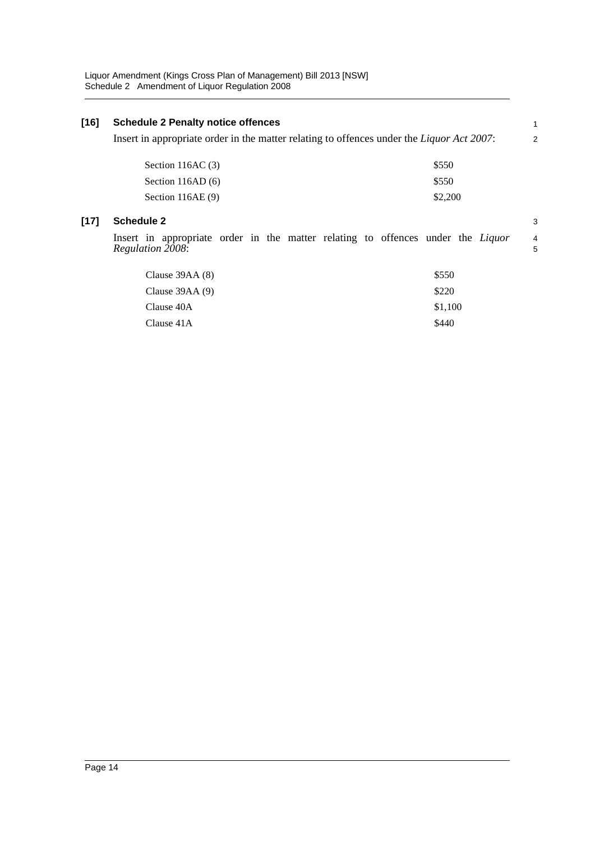#### **[16] Schedule 2 Penalty notice offences** Insert in appropriate order in the matter relating to offences under the *Liquor Act 2007*: **[17] Schedule 2** Insert in appropriate order in the matter relating to offences under the *Liquor Regulation 2008*: Section 116AC  $(3)$  \$550 Section 116AD (6)  $$550$ Section 116AE (9) \$2,200  $C$ lause 39AA (8)  $$550$ Clause 39AA  $(9)$  \$220 Clause 40A \$1,100 1 2 3 4 5

 $\text{Clause } 41\text{A}$  \$440